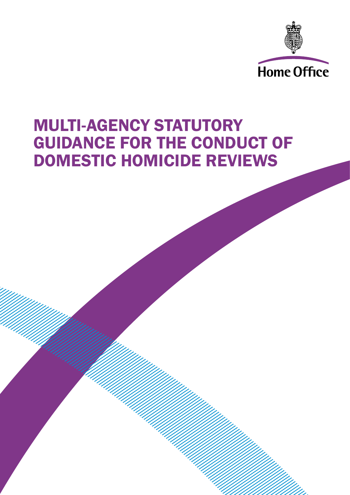

# MULTI-AGENCY STATUTORY GUIDANCE FOR THE CONDUCT OF DOMESTIC HOMICIDE REVIEWS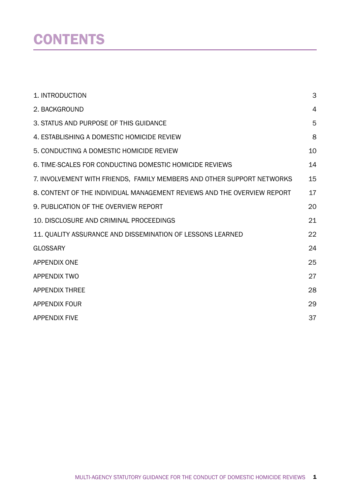# **CONTENTS**

| 3  |
|----|
| 4  |
| 5  |
| 8  |
| 10 |
| 14 |
| 15 |
| 17 |
| 20 |
| 21 |
| 22 |
| 24 |
| 25 |
| 27 |
| 28 |
| 29 |
| 37 |
|    |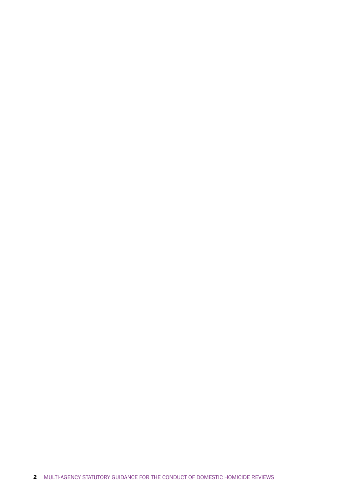MULTI-AGENCY STATUTORY GUIDANCE FOR THE CONDUCT OF DOMESTIC HOMICIDE REVIEWS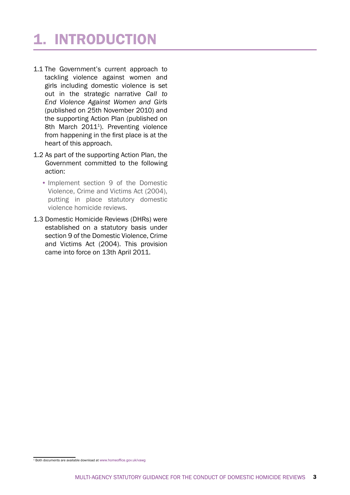# <span id="page-4-0"></span>1. INTRODUCTION

- 1.1 The Government's current approach to tackling violence against women and girls including domestic violence is set out in the strategic narrative *Call to End Violence Against Women and Girls*  (published on 25th November 2010) and the supporting Action Plan (published on 8th March 2011<sup>1</sup>). Preventing violence from happening in the first place is at the heart of this approach.
- 1.2 As part of the supporting Action Plan, the Government committed to the following action:
	- Implement section 9 of the Domestic Violence, Crime and Victims Act (2004), putting in place statutory domestic violence homicide reviews.
- 1.3 Domestic Homicide Reviews (DHRs) were established on a statutory basis under section 9 of the Domestic Violence, Crime and Victims Act (2004). This provision came into force on 13th April 2011.

<sup>1</sup> Both documents are available download at www.homeoffice.gov.uk/vawg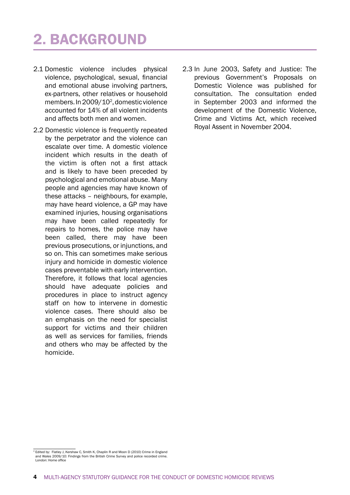# <span id="page-5-0"></span>2. BACKGROUND

- 2.1 Domestic violence includes physical violence, psychological, sexual, financial and emotional abuse involving partners, ex-partners, other relatives or household members. In 2009/102, domestic violence accounted for 14% of all violent incidents and affects both men and women.
- 2.2 Domestic violence is frequently repeated by the perpetrator and the violence can escalate over time. A domestic violence incident which results in the death of the victim is often not a first attack and is likely to have been preceded by psychological and emotional abuse. Many people and agencies may have known of these attacks – neighbours, for example, may have heard violence, a GP may have examined injuries, housing organisations may have been called repeatedly for repairs to homes, the police may have been called, there may have been previous prosecutions, or injunctions, and so on. This can sometimes make serious injury and homicide in domestic violence cases preventable with early intervention. Therefore, it follows that local agencies should have adequate policies and procedures in place to instruct agency staff on how to intervene in domestic violence cases. There should also be an emphasis on the need for specialist support for victims and their children as well as services for families, friends and others who may be affected by the homicide.
- 2.3 In June 2003, Safety and Justice: The previous Government's Proposals on Domestic Violence was published for consultation. The consultation ended in September 2003 and informed the development of the Domestic Violence, Crime and Victims Act, which received Royal Assent in November 2004.

<sup>2</sup> Edited by: Flatley J, Kershaw C, Smith K, Chaplin R and Moon D (2010) Crime in England and Wales 2009/10: Findings from the British Crime Survey and police recorded crime. London: Home office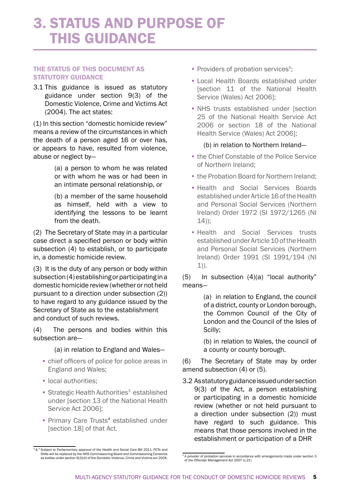# <span id="page-6-0"></span>3. STATUS AND PURPOSE OF THIS GUIDANCE

# The status of this document as **STATUTORY GUIDANCE**

3.1 This guidance is issued as statutory guidance under section 9(3) of the Domestic Violence, Crime and Victims Act (2004). The act states:

(1) In this section "domestic homicide review" means a review of the circumstances in which the death of a person aged 16 or over has, or appears to have, resulted from violence, abuse or neglect by—

- (a) a person to whom he was related or with whom he was or had been in an intimate personal relationship, or
- (b) a member of the same household as himself, held with a view to identifying the lessons to be learnt from the death.

(2) The Secretary of State may in a particular case direct a specified person or body within subsection (4) to establish, or to participate in, a domestic homicide review.

(3) It is the duty of any person or body within subsection (4) establishing or participating in a domestic homicide review (whether or not held pursuant to a direction under subsection (2)) to have regard to any guidance issued by the Secretary of State as to the establishment and conduct of such reviews.

(4) The persons and bodies within this subsection are—

- (a) in relation to England and Wales—
- chief officers of police for police areas in England and Wales;
- local authorities:
- Strategic Health Authorities<sup>3</sup> established under [section 13 of the National Health Service Act 2006];
- Primary Care Trusts<sup>4</sup> established under [section 18] of that Act.
- Providers of probation services<sup>5</sup>:
- Local Health Boards established under [section 11 of the National Health Service (Wales) Act 2006];
- NHS trusts established under [section] 25 of the National Health Service Act 2006 or section 18 of the National Health Service (Wales) Act 2006];

(b) in relation to Northern Ireland—

- the Chief Constable of the Police Service of Northern Ireland;
- the Probation Board for Northern Ireland;
- Health and Social Services Boards established under Article 16 of the Health and Personal Social Services (Northern Ireland) Order 1972 (SI 1972/1265 (NI 14));
- Health and Social Services trusts established under Article 10 of the Health and Personal Social Services (Northern Ireland) Order 1991 (SI 1991/194 (NI  $(1)$ ).

(5) In subsection (4)(a) "local authority" means—

> (a) in relation to England, the council of a district, county or London borough, the Common Council of the City of London and the Council of the Isles of Scilly;

> (b) in relation to Wales, the council of a county or county borough.

(6) The Secretary of State may by order amend subsection (4) or (5).

3.2 As statutory guidance issued under section 9(3) of the Act, a person establishing or participating in a domestic homicide review (whether or not held pursuant to a direction under subsection (2)) must have regard to such guidance. This means that those persons involved in the establishment or participation of a DHR

<sup>3 &</sup>amp; 4 Subject to Parliamentary approval of the Health and Social Care Bill 2011, PCTs and SHAs will be replaced by the NHS Commissioning Board and Commissioning Consortia as bodies under section 9(3)(4) of the Domestic Violence, Crime and Victims act 2004;

<sup>5</sup> A provider of probation services in accordance with arrangements made under section 3 of the Offender Management Act 2007 (c.21)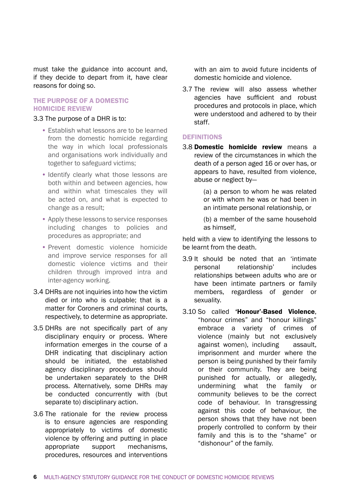must take the guidance into account and, if they decide to depart from it, have clear reasons for doing so.

#### The purpose of a Domestic Homicide Review

#### 3.3 The purpose of a DHR is to:

- Establish what lessons are to be learned from the domestic homicide regarding the way in which local professionals and organisations work individually and together to safeguard victims;
- Identify clearly what those lessons are both within and between agencies, how and within what timescales they will be acted on, and what is expected to change as a result;
- Apply these lessons to service responses including changes to policies and procedures as appropriate; and
- Prevent domestic violence homicide and improve service responses for all domestic violence victims and their children through improved intra and inter-agency working.
- 3.4 DHRs are not inquiries into how the victim died or into who is culpable; that is a matter for Coroners and criminal courts, respectively, to determine as appropriate.
- 3.5 DHRs are not specifically part of any disciplinary enquiry or process. Where information emerges in the course of a DHR indicating that disciplinary action should be initiated, the established agency disciplinary procedures should be undertaken separately to the DHR process. Alternatively, some DHRs may be conducted concurrently with (but separate to) disciplinary action.
- 3.6 The rationale for the review process is to ensure agencies are responding appropriately to victims of domestic violence by offering and putting in place appropriate support mechanisms, procedures, resources and interventions

with an aim to avoid future incidents of domestic homicide and violence.

3.7 The review will also assess whether agencies have sufficient and robust procedures and protocols in place, which were understood and adhered to by their staff.

#### **DEFINITIONS**

3.8 Domestic homicide review means a review of the circumstances in which the death of a person aged 16 or over has, or appears to have, resulted from violence, abuse or neglect by—

> (a) a person to whom he was related or with whom he was or had been in an intimate personal relationship, or

> (b) a member of the same household as himself,

held with a view to identifying the lessons to be learnt from the death.

- 3.9 It should be noted that an 'intimate personal relationship' includes relationships between adults who are or have been intimate partners or family members, regardless of gender or sexuality.
- 3.10 So called 'Honour'-Based Violence, "honour crimes" and "honour killings" embrace a variety of crimes of violence (mainly but not exclusively against women), including assault, imprisonment and murder where the person is being punished by their family or their community. They are being punished for actually, or allegedly, undermining what the family or community believes to be the correct code of behaviour. In transgressing against this code of behaviour, the person shows that they have not been properly controlled to conform by their family and this is to the "shame" or "dishonour" of the family.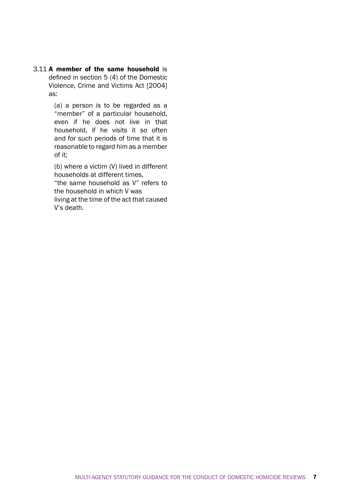3.11 A member of the same household is defined in section 5 (4) of the Domestic Violence, Crime and Victims Act [2004] as:

> (a) a person is to be regarded as a "member" of a particular household, even if he does not live in that household, if he visits it so often and for such periods of time that it is reasonable to regard him as a member of it;

> (b) where a victim (V) lived in different households at different times, "the same household as V" refers to the household in which V was living at the time of the act that caused V's death.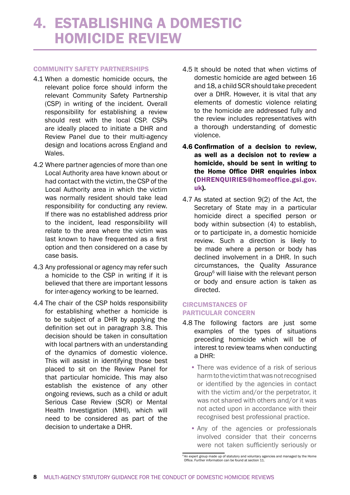# <span id="page-9-0"></span>4. Establishing a domestic homicide review

### Community Safety Partnerships

- 4.1 When a domestic homicide occurs, the relevant police force should inform the relevant Community Safety Partnership (CSP) in writing of the incident. Overall responsibility for establishing a review should rest with the local CSP. CSPs are ideally placed to initiate a DHR and Review Panel due to their multi-agency design and locations across England and Wales.
- 4.2 Where partner agencies of more than one Local Authority area have known about or had contact with the victim, the CSP of the Local Authority area in which the victim was normally resident should take lead responsibility for conducting any review. If there was no established address prior to the incident, lead responsibility will relate to the area where the victim was last known to have frequented as a first option and then considered on a case by case basis.
- 4.3 Any professional or agency may refer such a homicide to the CSP in writing if it is believed that there are important lessons for inter-agency working to be learned.
- 4.4 The chair of the CSP holds responsibility for establishing whether a homicide is to be subject of a DHR by applying the definition set out in paragraph 3.8. This decision should be taken in consultation with local partners with an understanding of the dynamics of domestic violence. This will assist in identifying those best placed to sit on the Review Panel for that particular homicide. This may also establish the existence of any other ongoing reviews, such as a child or adult Serious Case Review (SCR) or Mental Health Investigation (MHI), which will need to be considered as part of the decision to undertake a DHR.
- 4.5 It should be noted that when victims of domestic homicide are aged between 16 and 18, a child SCR should take precedent over a DHR. However, it is vital that any elements of domestic violence relating to the homicide are addressed fully and the review includes representatives with a thorough understanding of domestic violence.
- 4.6 Confirmation of a decision to review, as well as a decision not to review a homicide, should be sent in writing to the Home Office DHR enquiries inbox ([DHRENQUIRIES@homeoffice.gsi.gov.](mailto:DHRENQUIRIES@homeoffice.gsi.gov.uk) [uk\)](mailto:DHRENQUIRIES@homeoffice.gsi.gov.uk).
- 4.7 As stated at section 9(2) of the Act, the Secretary of State may in a particular homicide direct a specified person or body within subsection (4) to establish, or to participate in, a domestic homicide review. Such a direction is likely to be made where a person or body has declined involvement in a DHR. In such circumstances, the Quality Assurance Group6 will liaise with the relevant person or body and ensure action is taken as directed.

### Circumstances of Particular Concern

- 4.8 The following factors are just some examples of the types of situations preceding homicide which will be of interest to review teams when conducting a DHR:
	- There was evidence of a risk of serious harm to the victim that was not recognised or identified by the agencies in contact with the victim and/or the perpetrator, it was not shared with others and/or it was not acted upon in accordance with their recognised best professional practice.
	- Any of the agencies or professionals involved consider that their concerns were not taken sufficiently seriously or

<sup>6</sup> An expert group made up of statutory and voluntary agencies and managed by the Home Office. Further information can be found at section 11.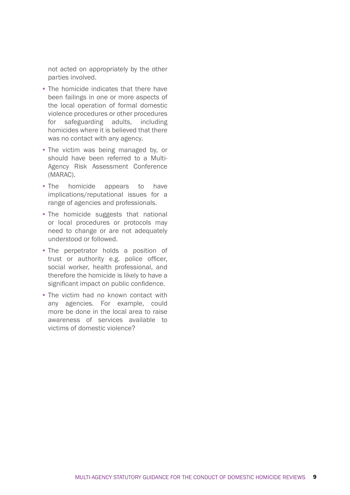not acted on appropriately by the other parties involved.

- The homicide indicates that there have been failings in one or more aspects of the local operation of formal domestic violence procedures or other procedures for safeguarding adults, including homicides where it is believed that there was no contact with any agency.
- The victim was being managed by, or should have been referred to a Multi-Agency Risk Assessment Conference (MARAC).
- The homicide appears to have implications/reputational issues for a range of agencies and professionals.
- The homicide suggests that national or local procedures or protocols may need to change or are not adequately understood or followed.
- The perpetrator holds a position of trust or authority e.g. police officer, social worker, health professional, and therefore the homicide is likely to have a significant impact on public confidence.
- The victim had no known contact with any agencies. For example, could more be done in the local area to raise awareness of services available to victims of domestic violence?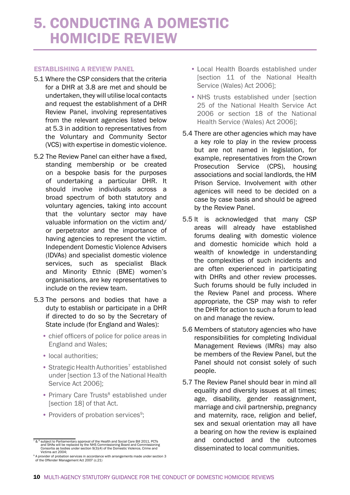# <span id="page-11-0"></span>5. CONDUCTING A DOMESTIC HOMICIDE REVIEW

# Establishing a Review Panel

- 5.1 Where the CSP considers that the criteria for a DHR at 3.8 are met and should be undertaken, they will utilise local contacts and request the establishment of a DHR Review Panel, involving representatives from the relevant agencies listed below at 5.3 in addition to representatives from the Voluntary and Community Sector (VCS) with expertise in domestic violence.
- 5.2 The Review Panel can either have a fixed, standing membership or be created on a bespoke basis for the purposes of undertaking a particular DHR. It should involve individuals across a broad spectrum of both statutory and voluntary agencies, taking into account that the voluntary sector may have valuable information on the victim and/ or perpetrator and the importance of having agencies to represent the victim. Independent Domestic Violence Advisers (IDVAs) and specialist domestic violence services, such as specialist Black and Minority Ethnic (BME) women's organisations, are key representatives to include on the review team.
- 5.3 The persons and bodies that have a duty to establish or participate in a DHR if directed to do so by the Secretary of State include (for England and Wales):
	- chief officers of police for police areas in England and Wales;
	- local authorities:
	- Strategic Health Authorities<sup>7</sup> established under [section 13 of the National Health Service Act 2006];
	- Primary Care Trusts<sup>8</sup> established under [section 18] of that Act.
	- Providers of probation services<sup>9</sup>;
- Local Health Boards established under [section 11 of the National Health Service (Wales) Act 2006];
- NHS trusts established under [section 25 of the National Health Service Act 2006 or section 18 of the National Health Service (Wales) Act 2006];
- 5.4 There are other agencies which may have a key role to play in the review process but are not named in legislation, for example, representatives from the Crown Prosecution Service (CPS), housing associations and social landlords, the HM Prison Service. Involvement with other agenices will need to be decided on a case by case basis and should be agreed by the Review Panel.
- 5.5 It is acknowledged that many CSP areas will already have established forums dealing with domestic violence and domestic homicide which hold a wealth of knowledge in understanding the complexities of such incidents and are often experienced in participating with DHRs and other review processes. Such forums should be fully included in the Review Panel and process. Where appropriate, the CSP may wish to refer the DHR for action to such a forum to lead on and manage the review.
- 5.6 Members of statutory agencies who have responsibilities for completing Individual Management Reviews (IMRs) may also be members of the Review Panel, but the Panel should not consist solely of such people.
- 5.7 The Review Panel should bear in mind all equality and diversity issues at all times; age, disability, gender reassignment, marriage and civil partnership, pregnancy and maternity, race, religion and belief, sex and sexual orientation may all have a bearing on how the review is explained and conducted and the outcomes disseminated to local communities.

 $^7$  &  $^8$  subject to Parliamentary approval of the Health and Social Care Bill 2011, PCTs<br>and SHAs will be replaced by the NHS Commissioning Board and Commissioning<br>Consortia as bodies under section 9(3)(4) of the Domes

A provider of probation services in accordance with arrangements made under section 3 of the Offender Management Act 2007 (c.21)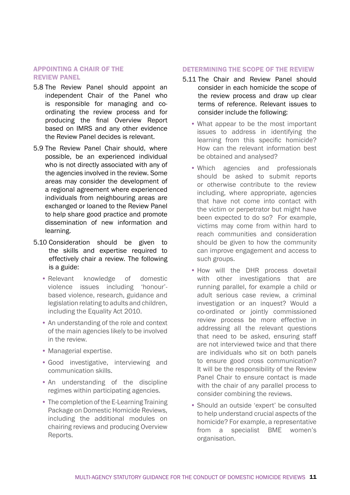# Appointing a Chair of the Review Panel

- 5.8 The Review Panel should appoint an independent Chair of the Panel who is responsible for managing and coordinating the review process and for producing the final Overview Report based on IMRS and any other evidence the Review Panel decides is relevant.
- 5.9 The Review Panel Chair should, where possible, be an experienced individual who is not directly associated with any of the agencies involved in the review. Some areas may consider the development of a regional agreement where experienced individuals from neighbouring areas are exchanged or loaned to the Review Panel to help share good practice and promote dissemination of new information and learning.
- 5.10 Consideration should be given to the skills and expertise required to effectively chair a review. The following is a guide:
	- Relevant knowledge of domestic violence issues including 'honour' based violence, research, guidance and legislation relating to adults and children, including the Equality Act 2010.
	- An understanding of the role and context of the main agencies likely to be involved in the review.
	- Managerial expertise.
	- Good investigative, interviewing and communication skills.
	- An understanding of the discipline regimes within participating agencies.
	- The completion of the E-Learning Training Package on Domestic Homicide Reviews, including the additional modules on chairing reviews and producing Overview Reports.

# Determining the Scope of the Review

- 5.11 The Chair and Review Panel should consider in each homicide the scope of the review process and draw up clear terms of reference. Relevant issues to consider include the following:
	- What appear to be the most important issues to address in identifying the learning from this specific homicide? How can the relevant information best be obtained and analysed?
	- Which agencies and professionals should be asked to submit reports or otherwise contribute to the review including, where appropriate, agencies that have not come into contact with the victim or perpetrator but might have been expected to do so? For example, victims may come from within hard to reach communities and consideration should be given to how the community can improve engagement and access to such groups.
	- How will the DHR process dovetail with other investigations that are running parallel, for example a child or adult serious case review, a criminal investigation or an inquest? Would a co-ordinated or jointly commissioned review process be more effective in addressing all the relevant questions that need to be asked, ensuring staff are not interviewed twice and that there are individuals who sit on both panels to ensure good cross communication? It will be the responsibility of the Review Panel Chair to ensure contact is made with the chair of any parallel process to consider combining the reviews.
	- Should an outside 'expert' be consulted to help understand crucial aspects of the homicide? For example, a representative from a specialist BME women's organisation.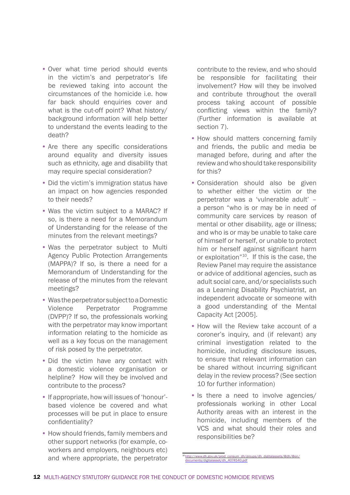- Over what time period should events in the victim's and perpetrator's life be reviewed taking into account the circumstances of the homicide i.e. how far back should enquiries cover and what is the cut-off point? What history/ background information will help better to understand the events leading to the death?
- Are there any specific considerations around equality and diversity issues such as ethnicity, age and disability that may require special consideration?
- Did the victim's immigration status have an impact on how agencies responded to their needs?
- Was the victim subject to a MARAC? If so, is there a need for a Memorandum of Understanding for the release of the minutes from the relevant meetings?
- Was the perpetrator subject to Multi Agency Public Protection Arrangements (MAPPA)? If so, is there a need for a Memorandum of Understanding for the release of the minutes from the relevant meetings?
- Was the perpetrator subject to a Domestic Violence Perpetrator Programme (DVPP)? If so, the professionals working with the perpetrator may know important information relating to the homicide as well as a key focus on the management of risk posed by the perpetrator.
- Did the victim have any contact with a domestic violence organisation or helpline? How will they be involved and contribute to the process?
- If appropriate, how will issues of 'honour' based violence be covered and what processes will be put in place to ensure confidentiality?
- How should friends, family members and other support networks (for example, coworkers and employers, neighbours etc) and where appropriate, the perpetrator

contribute to the review, and who should be responsible for facilitating their involvement? How will they be involved and contribute throughout the overall process taking account of possible conflicting views within the family? (Further information is available at section 7).

- How should matters concerning family and friends, the public and media be managed before, during and after the review and who should take responsibility for this?
- Consideration should also be given to whether either the victim or the perpetrator was a 'vulnerable adult' – a person "who is or may be in need of community care services by reason of mental or other disability, age or illness; and who is or may be unable to take care of himself or herself, or unable to protect him or herself against significant harm or exploitation"10. If this is the case, the Review Panel may require the assistance or advice of additional agencies, such as adult social care, and/or specialists such as a Learning Disability Psychiatrist, an independent advocate or someone with a good understanding of the Mental Capacity Act [2005].
- How will the Review take account of a coroner's inquiry, and (if relevant) any criminal investigation related to the homicide, including disclosure issues, to ensure that relevant information can be shared without incurring significant delay in the review process? (See section 10 for further information)
- Is there a need to involve agencies/ professionals working in other Local Authority areas with an interest in the homicide, including members of the VCS and what should their roles and responsibilities be?

10 [http://www.dh.gov.uk/prod\\_consum\\_dh/groups/dh\\_digitalassets/@dh/@en/](http://www.dh.gov.uk/prod_consum_dh/groups/dh_digitalassets/@dh/@en/documents/digitalasset/dh_4074540.pdf)

[documents/digitalasset/dh\\_4074540.pdf](http://www.dh.gov.uk/prod_consum_dh/groups/dh_digitalassets/@dh/@en/documents/digitalasset/dh_4074540.pdf)

12 MULTI-AGENCY STATUTORY GUIDANCE FOR THE CONDUCT OF DOMESTIC HOMICIDE REVIEWS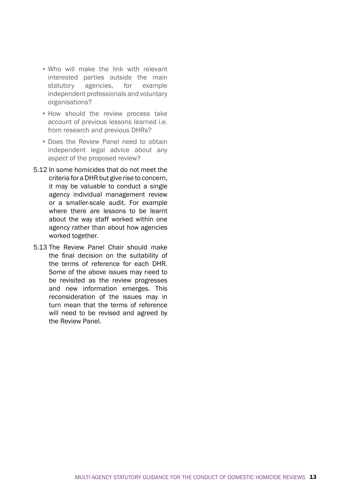- Who will make the link with relevant interested parties outside the main statutory agencies, for example independent professionals and voluntary organisations?
- How should the review process take account of previous lessons learned i.e. from research and previous DHRs?
- Does the Review Panel need to obtain independent legal advice about any aspect of the proposed review?
- 5.12 In some homicides that do not meet the criteria for a DHR but give rise to concern, it may be valuable to conduct a single agency individual management review or a smaller-scale audit. For example where there are lessons to be learnt about the way staff worked within one agency rather than about how agencies worked together.
- 5.13 The Review Panel Chair should make the final decision on the suitability of the terms of reference for each DHR. Some of the above issues may need to be revisited as the review progresses and new information emerges. This reconsideration of the issues may in turn mean that the terms of reference will need to be revised and agreed by the Review Panel.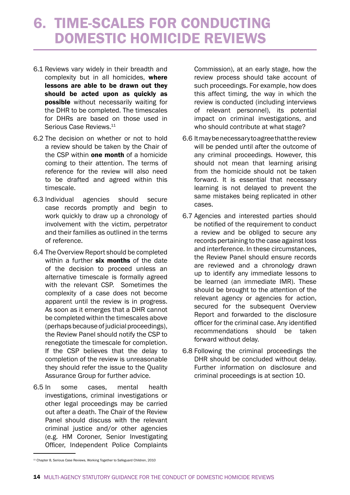# <span id="page-15-0"></span>6. Time-Scales for conducting Domestic homicide reviews

- 6.1 Reviews vary widely in their breadth and complexity but in all homicides, where lessons are able to be drawn out they should be acted upon as quickly as possible without necessarily waiting for the DHR to be completed. The timescales for DHRs are based on those used in Serious Case Reviews.<sup>11</sup>
- 6.2 The decision on whether or not to hold a review should be taken by the Chair of the CSP within **one month** of a homicide coming to their attention. The terms of reference for the review will also need to be drafted and agreed within this timescale.
- 6.3 Individual agencies should secure case records promptly and begin to work quickly to draw up a chronology of involvement with the victim, perpetrator and their families as outlined in the terms of reference.
- 6.4 The Overview Report should be completed within a further six months of the date of the decision to proceed unless an alternative timescale is formally agreed with the relevant CSP. Sometimes the complexity of a case does not become apparent until the review is in progress. As soon as it emerges that a DHR cannot be completed within the timescales above (perhaps because of judicial proceedings), the Review Panel should notify the CSP to renegotiate the timescale for completion. If the CSP believes that the delay to completion of the review is unreasonable they should refer the issue to the Quality Assurance Group for further advice.
- 6.5 In some cases, mental health investigations, criminal investigations or other legal proceedings may be carried out after a death. The Chair of the Review Panel should discuss with the relevant criminal justice and/or other agencies (e.g. HM Coroner, Senior Investigating Officer, Independent Police Complaints

Commission), at an early stage, how the review process should take account of such proceedings. For example, how does this affect timing, the way in which the review is conducted (including interviews of relevant personnel), its potential impact on criminal investigations, and who should contribute at what stage?

- 6.6 It may be necessary to agree that the review will be pended until after the outcome of any criminal proceedings. However, this should not mean that learning arising from the homicide should not be taken forward. It is essential that necessary learning is not delayed to prevent the same mistakes being replicated in other cases.
- 6.7 Agencies and interested parties should be notified of the requirement to conduct a review and be obliged to secure any records pertaining to the case against loss and interference. In these circumstances, the Review Panel should ensure records are reviewed and a chronology drawn up to identify any immediate lessons to be learned (an immediate IMR). These should be brought to the attention of the relevant agency or agencies for action, secured for the subsequent Overview Report and forwarded to the disclosure officer for the criminal case. Any identified recommendations should be taken forward without delay.
- 6.8 Following the criminal proceedings the DHR should be concluded without delay. Further information on disclosure and criminal proceedings is at section 10.

<sup>&</sup>lt;sup>11</sup> Chapter 8, Serious Case Reviews, Working Together to Safeguard Children, 2010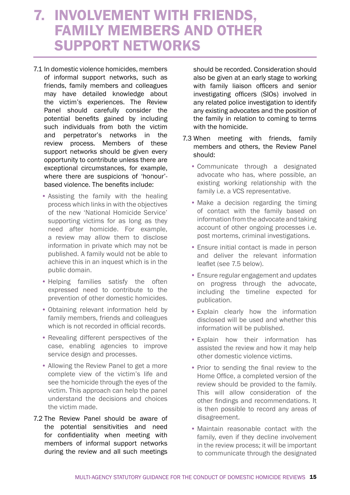# <span id="page-16-0"></span>7. INVOLVEMENT WITH FRIENDS, FAMILY MEMBERS AND OTHER SUPPORT NETWORKS

- 7.1 In domestic violence homicides, members of informal support networks, such as friends, family members and colleagues may have detailed knowledge about the victim's experiences. The Review Panel should carefully consider the potential benefits gained by including such individuals from both the victim and perpetrator's networks in the review process. Members of these support networks should be given every opportunity to contribute unless there are exceptional circumstances, for example, where there are suspicions of 'honour' based violence. The benefits include:
	- Assisting the family with the healing process which links in with the objectives of the new 'National Homicide Service' supporting victims for as long as they need after homicide. For example, a review may allow them to disclose information in private which may not be published. A family would not be able to achieve this in an inquest which is in the public domain.
	- Helping families satisfy the often expressed need to contribute to the prevention of other domestic homicides.
	- Obtaining relevant information held by family members, friends and colleagues which is not recorded in official records.
	- Revealing different perspectives of the case, enabling agencies to improve service design and processes.
	- Allowing the Review Panel to get a more complete view of the victim's life and see the homicide through the eyes of the victim. This approach can help the panel understand the decisions and choices the victim made.
- 7.2 The Review Panel should be aware of the potential sensitivities and need for confidentiality when meeting with members of informal support networks during the review and all such meetings

should be recorded. Consideration should also be given at an early stage to working with family liaison officers and senior investigating officers (SIOs) involved in any related police investigation to identify any existing advocates and the position of the family in relation to coming to terms with the homicide.

- 7.3 When meeting with friends, family members and others, the Review Panel should:
	- Communicate through a designated advocate who has, where possible, an existing working relationship with the family i.e. a VCS representative.
	- Make a decision regarding the timing of contact with the family based on information from the advocate and taking account of other ongoing processes i.e. post mortems, criminal investigations.
	- Ensure initial contact is made in person and deliver the relevant information leaflet (see 7.5 below).
	- Ensure regular engagement and updates on progress through the advocate, including the timeline expected for publication.
	- Explain clearly how the information disclosed will be used and whether this information will be published.
	- Explain how their information has assisted the review and how it may help other domestic violence victims.
	- Prior to sending the final review to the Home Office, a completed version of the review should be provided to the family. This will allow consideration of the other findings and recommendations. It is then possible to record any areas of disagreement.
	- Maintain reasonable contact with the family, even if they decline involvement in the review process; it will be important to communicate through the designated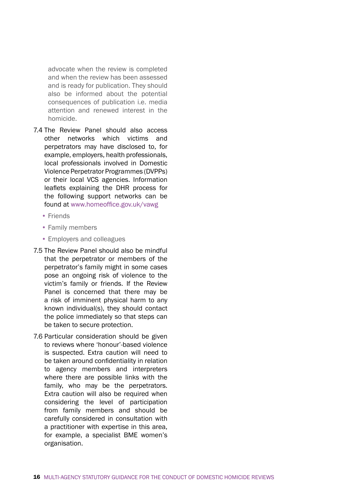advocate when the review is completed and when the review has been assessed and is ready for publication. They should also be informed about the potential consequences of publication i.e. media attention and renewed interest in the homicide.

- 7.4 The Review Panel should also access other networks which victims and perpetrators may have disclosed to, for example, employers, health professionals, local professionals involved in Domestic Violence Perpetrator Programmes (DVPPs) or their local VCS agencies. Information leaflets explaining the DHR process for the following support networks can be found at [www.homeoffice.gov.uk](http://www.homeoffice.gsi.gov.uk)/vawg
	- Friends
	- Family members
	- Employers and colleagues
- 7.5 The Review Panel should also be mindful that the perpetrator or members of the perpetrator's family might in some cases pose an ongoing risk of violence to the victim's family or friends. If the Review Panel is concerned that there may be a risk of imminent physical harm to any known individual(s), they should contact the police immediately so that steps can be taken to secure protection.
- 7.6 Particular consideration should be given to reviews where 'honour'-based violence is suspected. Extra caution will need to be taken around confidentiality in relation to agency members and interpreters where there are possible links with the family, who may be the perpetrators. Extra caution will also be required when considering the level of participation from family members and should be carefully considered in consultation with a practitioner with expertise in this area, for example, a specialist BME women's organisation.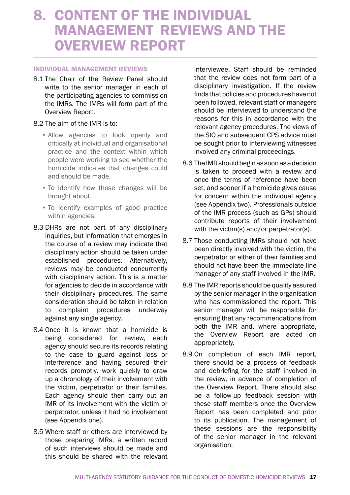# <span id="page-18-0"></span>8. CONTENT OF THE Individual Management Reviews and the OVERVIEW REPORT

## Individual Management Reviews

8.1 The Chair of the Review Panel should write to the senior manager in each of the participating agencies to commission the IMRs. The IMRs will form part of the Overview Report.

#### 8.2 The aim of the IMR is to:

- Allow agencies to look openly and critically at individual and organisational practice and the context within which people were working to see whether the homicide indicates that changes could and should be made.
- To identify how those changes will be brought about.
- To identify examples of good practice within agencies.
- 8.3 DHRs are not part of any disciplinary inquiries, but information that emerges in the course of a review may indicate that disciplinary action should be taken under established procedures. Alternatively, reviews may be conducted concurrently with disciplinary action. This is a matter for agencies to decide in accordance with their disciplinary procedures. The same consideration should be taken in relation to complaint procedures underway against any single agency.
- 8.4 Once it is known that a homicide is being considered for review, each agency should secure its records relating to the case to guard against loss or interference and having secured their records promptly, work quickly to draw up a chronology of their involvement with the victim, perpetrator or their families. Each agency should then carry out an IMR of its involvement with the victim or perpetrator, unless it had no involvement (see Appendix one).
- 8.5 Where staff or others are interviewed by those preparing IMRs, a written record of such interviews should be made and this should be shared with the relevant

interviewee. Staff should be reminded that the review does not form part of a disciplinary investigation. If the review finds that policies and procedures have not been followed, relevant staff or managers should be interviewed to understand the reasons for this in accordance with the relevant agency procedures. The views of the SIO and subsequent CPS advice must be sought prior to interviewing witnesses involved any criminal proceedings.

- 8.6 The IMR should begin as soon as a decision is taken to proceed with a review and once the terms of reference have been set, and sooner if a homicide gives cause for concern within the individual agency (see Appendix two). Professionals outside of the IMR process (such as GPs) should contribute reports of their involvement with the victim(s) and/or perpetrator(s).
- 8.7 Those conducting IMRs should not have been directly involved with the victim, the perpetrator or either of their families and should not have been the immediate line manager of any staff involved in the IMR.
- 8.8 The IMR reports should be quality assured by the senior manager in the organisation who has commissioned the report. This senior manager will be responsible for ensuring that any recommendations from both the IMR and, where appropriate, the Overview Report are acted on appropriately.
- 8.9 On completion of each IMR report, there should be a process of feedback and debriefing for the staff involved in the review, in advance of completion of the Overview Report. There should also be a follow-up feedback session with these staff members once the Overview Report has been completed and prior to its publication. The management of these sessions are the responsibility of the senior manager in the relevant organisation.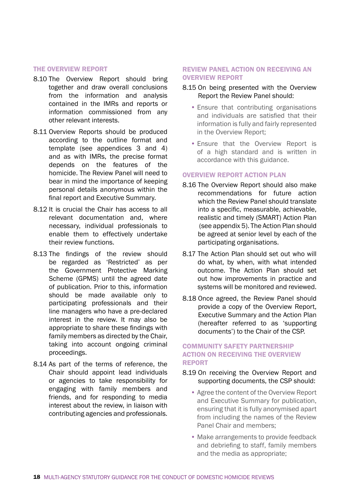#### The Overview Report

- 8.10 The Overview Report should bring together and draw overall conclusions from the information and analysis contained in the IMRs and reports or information commissioned from any other relevant interests.
- 8.11 Overview Reports should be produced according to the outline format and template (see appendices 3 and 4) and as with IMRs, the precise format depends on the features of the homicide. The Review Panel will need to bear in mind the importance of keeping personal details anonymous within the final report and Executive Summary.
- 8.12 It is crucial the Chair has access to all relevant documentation and, where necessary, individual professionals to enable them to effectively undertake their review functions.
- 8.13 The findings of the review should be regarded as 'Restricted' as per the Government Protective Marking Scheme (GPMS) until the agreed date of publication. Prior to this, information should be made available only to participating professionals and their line managers who have a pre-declared interest in the review. It may also be appropriate to share these findings with family members as directed by the Chair, taking into account ongoing criminal proceedings.
- 8.14 As part of the terms of reference, the Chair should appoint lead individuals or agencies to take responsibility for engaging with family members and friends, and for responding to media interest about the review, in liaison with contributing agencies and professionals.

### Review Panel Action on Receiving an Overview Report

#### 8.15 On being presented with the Overview Report the Review Panel should:

- Ensure that contributing organisations and individuals are satisfied that their information is fully and fairly represented in the Overview Report;
- Ensure that the Overview Report is of a high standard and is written in accordance with this guidance.

### Overview Report Action Plan

- 8.16 The Overview Report should also make recommendations for future action which the Review Panel should translate into a specific, measurable, achievable, realistic and timely (SMART) Action Plan (see appendix 5). The Action Plan should be agreed at senior level by each of the participating organisations.
- 8.17 The Action Plan should set out who will do what, by when, with what intended outcome. The Action Plan should set out how improvements in practice and systems will be monitored and reviewed.
- 8.18 Once agreed, the Review Panel should provide a copy of the Overview Report, Executive Summary and the Action Plan (hereafter referred to as 'supporting documents') to the Chair of the CSP.

# Community Safety Partnership Action on receiving the Overview Report

- 8.19 On receiving the Overview Report and supporting documents, the CSP should:
	- Agree the content of the Overview Report and Executive Summary for publication, ensuring that it is fully anonymised apart from including the names of the Review Panel Chair and members;
	- Make arrangements to provide feedback and debriefing to staff, family members and the media as appropriate;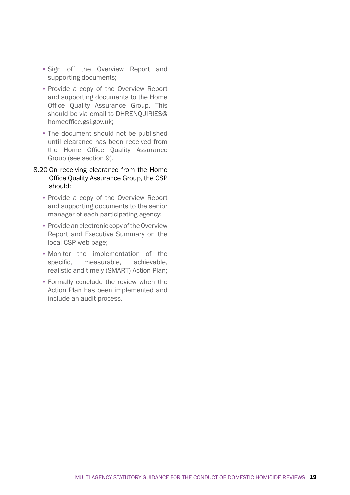- Sign off the Overview Report and supporting documents;
- Provide a copy of the Overview Report and supporting documents to the Home Office Quality Assurance Group. This should be via email to [DHRENQUIRIES@](mailto:DHRENQUIRIES@homeoffice.gsi.gov.uk) [homeoffice.gsi.gov.uk](mailto:DHRENQUIRIES@homeoffice.gsi.gov.uk);
- The document should not be published until clearance has been received from the Home Office Quality Assurance Group (see section 9).
- 8.20 On receiving clearance from the Home Office Quality Assurance Group, the CSP should:
	- Provide a copy of the Overview Report and supporting documents to the senior manager of each participating agency;
	- Provide an electronic copy of the Overview Report and Executive Summary on the local CSP web page;
	- Monitor the implementation of the specific, measurable, achievable, realistic and timely (SMART) Action Plan;
	- Formally conclude the review when the Action Plan has been implemented and include an audit process.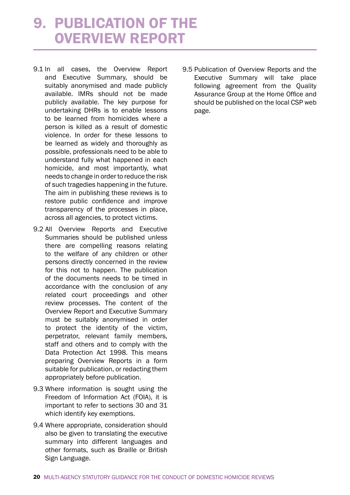# <span id="page-21-0"></span>9. Publication of the Overview Report

- 9.1 In all cases, the Overview Report and Executive Summary, should be suitably anonymised and made publicly available. IMRs should not be made publicly available. The key purpose for undertaking DHRs is to enable lessons to be learned from homicides where a person is killed as a result of domestic violence. In order for these lessons to be learned as widely and thoroughly as possible, professionals need to be able to understand fully what happened in each homicide, and most importantly, what needs to change in order to reduce the risk of such tragedies happening in the future. The aim in publishing these reviews is to restore public confidence and improve transparency of the processes in place, across all agencies, to protect victims.
- 9.2 All Overview Reports and Executive Summaries should be published unless there are compelling reasons relating to the welfare of any children or other persons directly concerned in the review for this not to happen. The publication of the documents needs to be timed in accordance with the conclusion of any related court proceedings and other review processes. The content of the Overview Report and Executive Summary must be suitably anonymised in order to protect the identity of the victim, perpetrator, relevant family members, staff and others and to comply with the Data Protection Act 1998. This means preparing Overview Reports in a form suitable for publication, or redacting them appropriately before publication.
- 9.3 Where information is sought using the Freedom of Information Act (FOIA), it is important to refer to sections 30 and 31 which identify key exemptions.
- 9.4 Where appropriate, consideration should also be given to translating the executive summary into different languages and other formats, such as Braille or British Sign Language.

9.5 Publication of Overview Reports and the Executive Summary will take place following agreement from the Quality Assurance Group at the Home Office and should be published on the local CSP web page.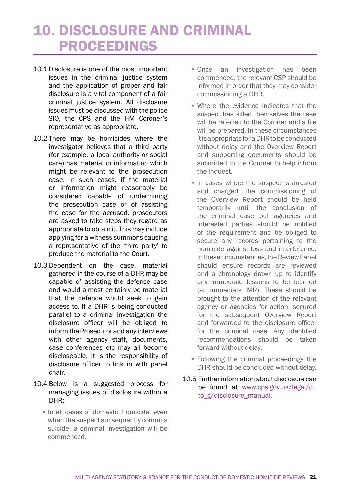# <span id="page-22-0"></span>10. Disclosure and criminal **PROCEEDINGS**

- 10.1 Disclosure is one of the most important issues in the criminal justice system and the application of proper and fair disclosure is a vital component of a fair criminal justice system. All disclosure issues must be discussed with the police SIO, the CPS and the HM Coroner's representative as appropriate.
- 10.2 There may be homicides where the investigator believes that a third party (for example, a local authority or social care) has material or information which might be relevant to the prosecution case. In such cases, if the material or information might reasonably be considered capable of undermining the prosecution case or of assisting the case for the accused, prosecutors are asked to take steps they regard as appropriate to obtain it. This may include applying for a witness summons causing a representative of the 'third party' to produce the material to the Court.
- 10.3 Dependent on the case, material gathered in the course of a DHR may be capable of assisting the defence case and would almost certainly be material that the defence would seek to gain access to. If a DHR is being conducted parallel to a criminal investigation the disclosure officer will be obliged to inform the Prosecutor and any interviews with other agency staff, documents, case conferences etc may all become discloseable. It is the responsibility of disclosure officer to link in with panel chair.
- 10.4 Below is a suggested process for managing issues of disclosure within a DHR:
	- In all cases of domestic homicide, even when the suspect subsequently commits suicide, a criminal investigation will be commenced.
- Once an investigation has been commenced, the relevant CSP should be informed in order that they may consider commissioning a DHR.
- Where the evidence indicates that the suspect has killed themselves the case will be referred to the Coroner and a file will be prepared. In these circumstances it is appropriate for a DHR to be conducted without delay and the Overview Report and supporting documents should be submitted to the Coroner to help inform the Inquest.
- In cases where the suspect is arrested and charged, the commissioning of the Overview Report should be held temporarily until the conclusion of the criminal case but agencies and interested parties should be notified of the requirement and be obliged to secure any records pertaining to the homicide against loss and interference. In these circumstances, the Review Panel should ensure records are reviewed and a chronology drawn up to identify any immediate lessons to be learned (an immediate IMR). These should be brought to the attention of the relevant agency or agencies for action, secured for the subsequent Overview Report and forwarded to the disclosure officer for the criminal case. Any identified recommendations should be taken forward without delay.
- Following the criminal proceedings the DHR should be concluded without delay.
- 10.5 Further information about disclosure can be found at [www.cps.gov.uk/legal/d\\_](http://www.cps.gov.uk/legal/d_to_g/disclosure_manual) [to\\_g/disclosure\\_manual](http://www.cps.gov.uk/legal/d_to_g/disclosure_manual).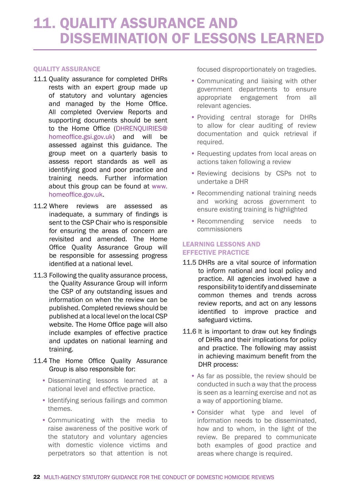# <span id="page-23-0"></span>11. QUALITY ASSURANCE AND DISSEMINATION OF LESSONS LEARNED

## Quality Assurance

- 11.1 Quality assurance for completed DHRs rests with an expert group made up of statutory and voluntary agencies and managed by the Home Office. All completed Overview Reports and supporting documents should be sent to the Home Office ([DHRENQUIRIES@](mailto:DHRENQUIRIES@homeoffice.gsi.gov.uk) [homeoffice.gsi.gov.uk](mailto:DHRENQUIRIES@homeoffice.gsi.gov.uk)) and will be assessed against this guidance. The group meet on a quarterly basis to assess report standards as well as identifying good and poor practice and training needs. Further information about this group can be found at [www.](http://www.homeoffice.gsi.gov.uk) [homeoffice.gov.uk](http://www.homeoffice.gsi.gov.uk).
- 11.2 Where reviews are assessed as inadequate, a summary of findings is sent to the CSP Chair who is responsible for ensuring the areas of concern are revisited and amended. The Home Office Quality Assurance Group will be responsible for assessing progress identified at a national level.
- 11.3 Following the quality assurance process, the Quality Assurance Group will inform the CSP of any outstanding issues and information on when the review can be published. Completed reviews should be published at a local level on the local CSP website. The Home Office page will also include examples of effective practice and updates on national learning and training.
- 11.4 The Home Office Quality Assurance Group is also responsible for:
	- Disseminating lessons learned at a national level and effective practice.
	- Identifying serious failings and common themes.
	- Communicating with the media to raise awareness of the positive work of the statutory and voluntary agencies with domestic violence victims and perpetrators so that attention is not

focused disproportionately on tragedies.

- Communicating and liaising with other government departments to ensure appropriate engagement from all relevant agencies.
- Providing central storage for DHRs to allow for clear auditing of review documentation and quick retrieval if required.
- Requesting updates from local areas on actions taken following a review
- Reviewing decisions by CSPs not to undertake a DHR
- Recommending national training needs and working across government to ensure existing training is highlighted
- Recommending service needs to commissioners

# Learning Lessons and Effective Practice

- 11.5 DHRs are a vital source of information to inform national and local policy and practice. All agencies involved have a responsibility to identify and disseminate common themes and trends across review reports, and act on any lessons identified to improve practice and safeguard victims.
- 11.6 It is important to draw out key findings of DHRs and their implications for policy and practice. The following may assist in achieving maximum benefit from the DHR process:
	- As far as possible, the review should be conducted in such a way that the process is seen as a learning exercise and not as a way of apportioning blame.
	- Consider what type and level of information needs to be disseminated, how and to whom, in the light of the review. Be prepared to communicate both examples of good practice and areas where change is required.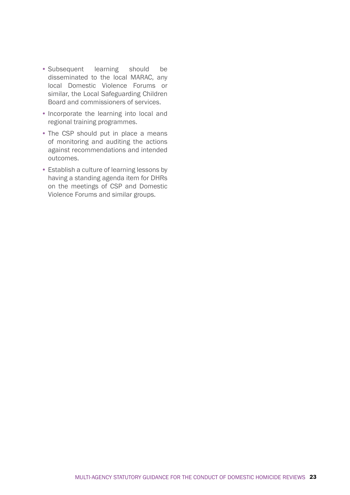- Subsequent learning should be disseminated to the local MARAC, any local Domestic Violence Forums or similar, the Local Safeguarding Children Board and commissioners of services.
- Incorporate the learning into local and regional training programmes.
- The CSP should put in place a means of monitoring and auditing the actions against recommendations and intended outcomes.
- Establish a culture of learning lessons by having a standing agenda item for DHRs on the meetings of CSP and Domestic Violence Forums and similar groups.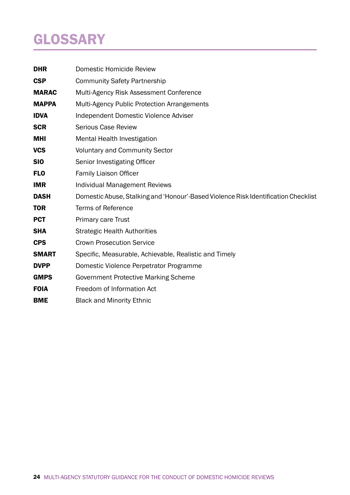# <span id="page-25-0"></span>**GLOSSARY**

| <b>DHR</b>   | Domestic Homicide Review                                                           |
|--------------|------------------------------------------------------------------------------------|
| <b>CSP</b>   | <b>Community Safety Partnership</b>                                                |
| <b>MARAC</b> | Multi-Agency Risk Assessment Conference                                            |
| <b>MAPPA</b> | <b>Multi-Agency Public Protection Arrangements</b>                                 |
| <b>IDVA</b>  | Independent Domestic Violence Adviser                                              |
| <b>SCR</b>   | <b>Serious Case Review</b>                                                         |
| <b>MHI</b>   | Mental Health Investigation                                                        |
| <b>VCS</b>   | <b>Voluntary and Community Sector</b>                                              |
| <b>SIO</b>   | Senior Investigating Officer                                                       |
| <b>FLO</b>   | <b>Family Liaison Officer</b>                                                      |
| <b>IMR</b>   | <b>Individual Management Reviews</b>                                               |
| <b>DASH</b>  | Domestic Abuse, Stalking and 'Honour'-Based Violence Risk Identification Checklist |
| <b>TOR</b>   | <b>Terms of Reference</b>                                                          |
| <b>PCT</b>   | Primary care Trust                                                                 |
| <b>SHA</b>   | <b>Strategic Health Authorities</b>                                                |
| <b>CPS</b>   | <b>Crown Prosecution Service</b>                                                   |
| <b>SMART</b> | Specific, Measurable, Achievable, Realistic and Timely                             |
| <b>DVPP</b>  | Domestic Violence Perpetrator Programme                                            |
| <b>GMPS</b>  | <b>Government Protective Marking Scheme</b>                                        |
| <b>FOIA</b>  | Freedom of Information Act                                                         |
| <b>BME</b>   | <b>Black and Minority Ethnic</b>                                                   |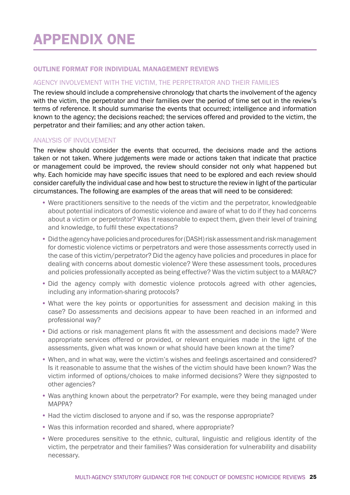# <span id="page-26-0"></span>OUTLINE FORMAT FOR INDIVIDUAL MANAGEMENT REVIEWS

# Agency involvement with the victim, the perpetrator and their families

The review should include a comprehensive chronology that charts the involvement of the agency with the victim, the perpetrator and their families over the period of time set out in the review's terms of reference. It should summarise the events that occurred; intelligence and information known to the agency; the decisions reached; the services offered and provided to the victim, the perpetrator and their families; and any other action taken.

# Analysis of involvement

The review should consider the events that occurred, the decisions made and the actions taken or not taken. Where judgements were made or actions taken that indicate that practice or management could be improved, the review should consider not only what happened but why. Each homicide may have specific issues that need to be explored and each review should consider carefully the individual case and how best to structure the review in light of the particular circumstances. The following are examples of the areas that will need to be considered:

- Were practitioners sensitive to the needs of the victim and the perpetrator, knowledgeable about potential indicators of domestic violence and aware of what to do if they had concerns about a victim or perpetrator? Was it reasonable to expect them, given their level of training and knowledge, to fulfil these expectations?
- Did the agency have policies and procedures for (DASH) risk assessment and risk management for domestic violence victims or perpetrators and were those assessments correctly used in the case of this victim/perpetrator? Did the agency have policies and procedures in place for dealing with concerns about domestic violence? Were these assessment tools, procedures and policies professionally accepted as being effective? Was the victim subject to a MARAC?
- Did the agency comply with domestic violence protocols agreed with other agencies, including any information-sharing protocols?
- What were the key points or opportunities for assessment and decision making in this case? Do assessments and decisions appear to have been reached in an informed and professional way?
- Did actions or risk management plans fit with the assessment and decisions made? Were appropriate services offered or provided, or relevant enquiries made in the light of the assessments, given what was known or what should have been known at the time?
- When, and in what way, were the victim's wishes and feelings ascertained and considered? Is it reasonable to assume that the wishes of the victim should have been known? Was the victim informed of options/choices to make informed decisions? Were they signposted to other agencies?
- Was anything known about the perpetrator? For example, were they being managed under MAPPA?
- Had the victim disclosed to anyone and if so, was the response appropriate?
- Was this information recorded and shared, where appropriate?
- Were procedures sensitive to the ethnic, cultural, linguistic and religious identity of the victim, the perpetrator and their families? Was consideration for vulnerability and disability necessary.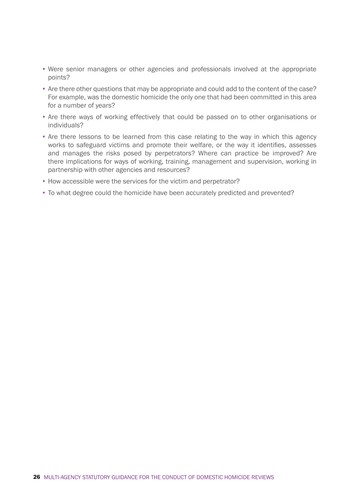- Were senior managers or other agencies and professionals involved at the appropriate points?
- Are there other questions that may be appropriate and could add to the content of the case? For example, was the domestic homicide the only one that had been committed in this area for a number of years?
- Are there ways of working effectively that could be passed on to other organisations or individuals?
- Are there lessons to be learned from this case relating to the way in which this agency works to safeguard victims and promote their welfare, or the way it identifies, assesses and manages the risks posed by perpetrators? Where can practice be improved? Are there implications for ways of working, training, management and supervision, working in partnership with other agencies and resources?
- How accessible were the services for the victim and perpetrator?
- To what degree could the homicide have been accurately predicted and prevented?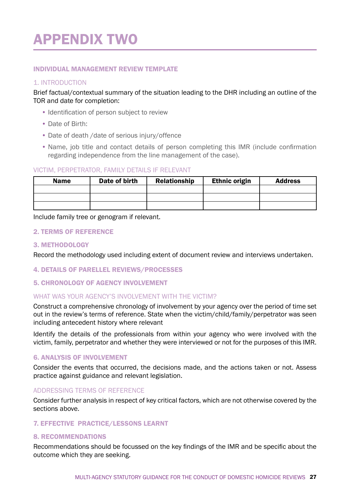# <span id="page-28-0"></span>INDIVIDUAL MANAGEMENT REVIEW TEMPLATE

#### 1. INTRODUCTION

Brief factual/contextual summary of the situation leading to the DHR including an outline of the TOR and date for completion:

- Identification of person subject to review
- Date of Birth:
- Date of death /date of serious injury/offence
- Name, job title and contact details of person completing this IMR (include confirmation regarding independence from the line management of the case).

#### Victim, perpetrator, family Details if relevant

| <b>Name</b> | Date of birth | Relationship | <b>Ethnic origin</b> | <b>Address</b> |
|-------------|---------------|--------------|----------------------|----------------|
|             |               |              |                      |                |
|             |               |              |                      |                |
|             |               |              |                      |                |

Include family tree or genogram if relevant.

#### 2. TERMS OF REFERENCE

#### 3. METHODOLOGY

Record the methodology used including extent of document review and interviews undertaken.

### 4. DETAILS OF PARELLEL REVIEWS/PROCESSES

### 5. CHRONOLOGY OF AGENCY INVOLVEMENT

### WHAT WAS YOUR AGENCY'S INVOLVEMENT WITH THE VICTIM?

Construct a comprehensive chronology of involvement by your agency over the period of time set out in the review's terms of reference. State when the victim/child/family/perpetrator was seen including antecedent history where relevant

Identify the details of the professionals from within your agency who were involved with the victim, family, perpetrator and whether they were interviewed or not for the purposes of this IMR.

#### 6. ANALYSIS OF INVOLVEMENT

Consider the events that occurred, the decisions made, and the actions taken or not. Assess practice against guidance and relevant legislation.

#### Addressing terms of reference

Consider further analysis in respect of key critical factors, which are not otherwise covered by the sections above.

### 7. EFFECTIVE PRACTICE/LESSONS LEARNT

#### 8. RECOMMENDATIONS

Recommendations should be focussed on the key findings of the IMR and be specific about the outcome which they are seeking.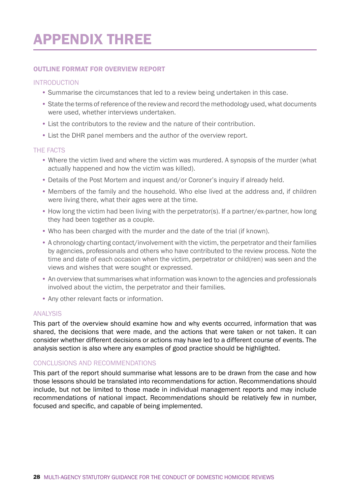# <span id="page-29-0"></span>Appendix Three

# **OUTLINE FORMAT FOR OVERVIEW REPORT**

#### Introduction

- Summarise the circumstances that led to a review being undertaken in this case.
- State the terms of reference of the review and record the methodology used, what documents were used, whether interviews undertaken.
- List the contributors to the review and the nature of their contribution.
- List the DHR panel members and the author of the overview report.

#### The Facts

- Where the victim lived and where the victim was murdered. A synopsis of the murder (what actually happened and how the victim was killed).
- Details of the Post Mortem and inquest and/or Coroner's inquiry if already held.
- Members of the family and the household. Who else lived at the address and, if children were living there, what their ages were at the time.
- How long the victim had been living with the perpetrator(s). If a partner/ex-partner, how long they had been together as a couple.
- Who has been charged with the murder and the date of the trial (if known).
- A chronology charting contact/involvement with the victim, the perpetrator and their families by agencies, professionals and others who have contributed to the review process. Note the time and date of each occasion when the victim, perpetrator or child(ren) was seen and the views and wishes that were sought or expressed.
- An overview that summarises what information was known to the agencies and professionals involved about the victim, the perpetrator and their families.
- Any other relevant facts or information.

#### Analysis

This part of the overview should examine how and why events occurred, information that was shared, the decisions that were made, and the actions that were taken or not taken. It can consider whether different decisions or actions may have led to a different course of events. The analysis section is also where any examples of good practice should be highlighted.

# Conclusions and recommendations

This part of the report should summarise what lessons are to be drawn from the case and how those lessons should be translated into recommendations for action. Recommendations should include, but not be limited to those made in individual management reports and may include recommendations of national impact. Recommendations should be relatively few in number, focused and specific, and capable of being implemented.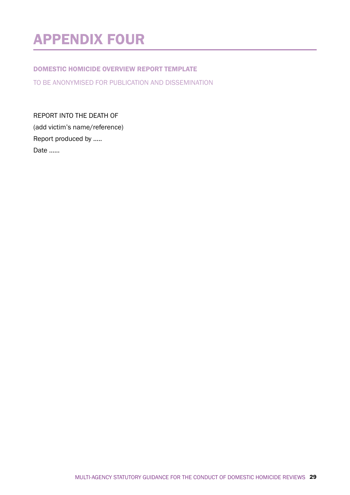# <span id="page-30-0"></span>Appendix four

# Domestic Homicide Overview Report Template

To be anonymised for publication and dissemination

REPORT INTO THE DEATH OF (add victim's name/reference) Report produced by ….. Date ……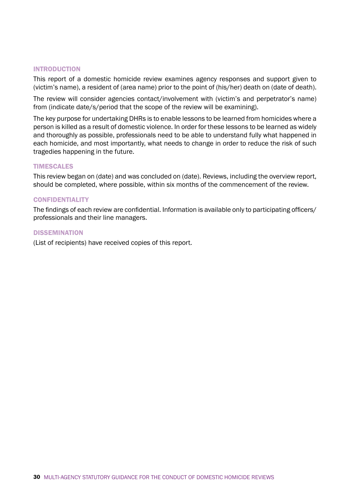### Introduction

This report of a domestic homicide review examines agency responses and support given to (victim's name), a resident of (area name) prior to the point of (his/her) death on (date of death).

The review will consider agencies contact/involvement with (victim's and perpetrator's name) from (indicate date/s/period that the scope of the review will be examining).

The key purpose for undertaking DHRs is to enable lessons to be learned from homicides where a person is killed as a result of domestic violence. In order for these lessons to be learned as widely and thoroughly as possible, professionals need to be able to understand fully what happened in each homicide, and most importantly, what needs to change in order to reduce the risk of such tragedies happening in the future.

#### **TIMESCALES**

This review began on (date) and was concluded on (date). Reviews, including the overview report, should be completed, where possible, within six months of the commencement of the review.

#### **CONFIDENTIALITY**

The findings of each review are confidential. Information is available only to participating officers/ professionals and their line managers.

#### **DISSEMINATION**

(List of recipients) have received copies of this report.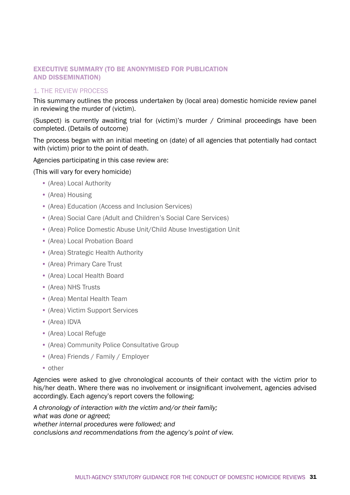# Executive Summary (To be anonymised for publication and dissemination)

# 1. The review process

This summary outlines the process undertaken by (local area) domestic homicide review panel in reviewing the murder of (victim).

(Suspect) is currently awaiting trial for (victim)'s murder / Criminal proceedings have been completed. (Details of outcome)

The process began with an initial meeting on (date) of all agencies that potentially had contact with (victim) prior to the point of death.

Agencies participating in this case review are:

(This will vary for every homicide)

- (Area) Local Authority
- (Area) Housing
- (Area) Education (Access and Inclusion Services)
- (Area) Social Care (Adult and Children's Social Care Services)
- (Area) Police Domestic Abuse Unit/Child Abuse Investigation Unit
- (Area) Local Probation Board
- (Area) Strategic Health Authority
- (Area) Primary Care Trust
- (Area) Local Health Board
- (Area) NHS Trusts
- (Area) Mental Health Team
- (Area) Victim Support Services
- (Area) IDVA
- (Area) Local Refuge
- (Area) Community Police Consultative Group
- (Area) Friends / Family / Employer
- other

Agencies were asked to give chronological accounts of their contact with the victim prior to his/her death. Where there was no involvement or insignificant involvement, agencies advised accordingly. Each agency's report covers the following:

*A chronology of interaction with the victim and/or their family; what was done or agreed; whether internal procedures were followed; and conclusions and recommendations from the agency's point of view.*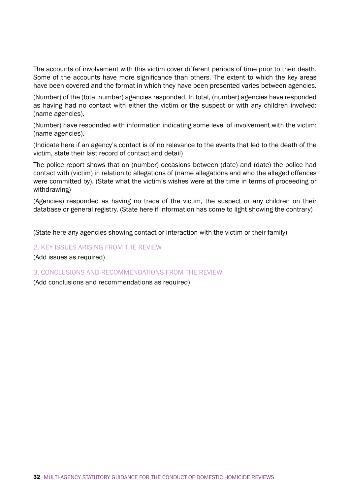The accounts of involvement with this victim cover different periods of time prior to their death. Some of the accounts have more significance than others. The extent to which the key areas have been covered and the format in which they have been presented varies between agencies.

(Number) of the (total number) agencies responded. In total, (number) agencies have responded as having had no contact with either the victim or the suspect or with any children involved: (name agencies).

(Number) have responded with information indicating some level of involvement with the victim: (name agencies).

(Indicate here if an agency's contact is of no relevance to the events that led to the death of the victim, state their last record of contact and detail)

The police report shows that on (number) occasions between (date) and (date) the police had contact with (victim) in relation to allegations of (name allegations and who the alleged offences were committed by). (State what the victim's wishes were at the time in terms of proceeding or withdrawing)

(Agencies) responded as having no trace of the victim, the suspect or any children on their database or general registry. (State here if information has come to light showing the contrary)

(State here any agencies showing contact or interaction with the victim or their family)

#### 2. Key issues arising from the review

(Add issues as required)

3. Conclusions and recommendations from the review

(Add conclusions and recommendations as required)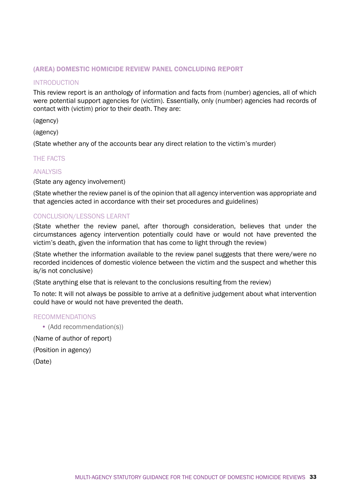## (AREA) DOMESTIC HOMICIDE REVIEW PANEL CONCLUDING REPORT

#### **INTRODUCTION**

This review report is an anthology of information and facts from (number) agencies, all of which were potential support agencies for (victim). Essentially, only (number) agencies had records of contact with (victim) prior to their death. They are:

(agency)

(agency)

(State whether any of the accounts bear any direct relation to the victim's murder)

# The Facts

### **ANALYSIS**

(State any agency involvement)

(State whether the review panel is of the opinion that all agency intervention was appropriate and that agencies acted in accordance with their set procedures and guidelines)

#### Conclusion/Lessons Learnt

(State whether the review panel, after thorough consideration, believes that under the circumstances agency intervention potentially could have or would not have prevented the victim's death, given the information that has come to light through the review)

(State whether the information available to the review panel suggests that there were/were no recorded incidences of domestic violence between the victim and the suspect and whether this is/is not conclusive)

(State anything else that is relevant to the conclusions resulting from the review)

To note: It will not always be possible to arrive at a definitive judgement about what intervention could have or would not have prevented the death.

#### Recommendations

• (Add recommendation(s))

(Name of author of report)

(Position in agency)

(Date)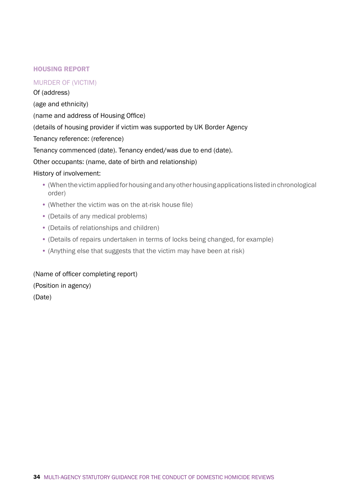# HOUSING REPORT

# MURDER OF (VICTIM)

Of (address)

(age and ethnicity)

(name and address of Housing Office)

(details of housing provider if victim was supported by UK Border Agency

Tenancy reference: (reference)

Tenancy commenced (date). Tenancy ended/was due to end (date).

Other occupants: (name, date of birth and relationship)

# History of involvement:

- (When the victim applied for housing and any other housing applications listed in chronological order)
- (Whether the victim was on the at-risk house file)
- (Details of any medical problems)
- (Details of relationships and children)
- (Details of repairs undertaken in terms of locks being changed, for example)
- (Anything else that suggests that the victim may have been at risk)

# (Name of officer completing report)

(Position in agency) (Date)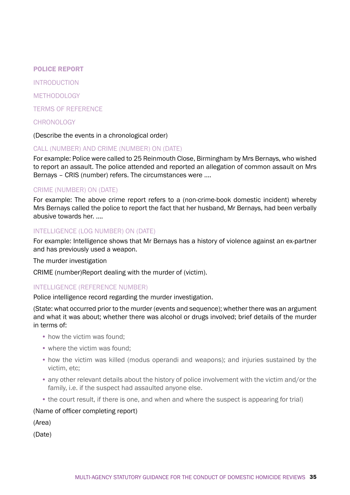## POLICE REPORT

**INTRODUCTION** 

**METHODOLOGY** 

Terms of Reference

### **CHRONOLOGY**

(Describe the events in a chronological order)

# CALL (NUMBER) AND CRIME (NUMBER) ON (DATE)

For example: Police were called to 25 Reinmouth Close, Birmingham by Mrs Bernays, who wished to report an assault. The police attended and reported an allegation of common assault on Mrs Bernays – CRIS (number) refers. The circumstances were ….

# CRIME (NUMBER) ON (DATE)

For example: The above crime report refers to a (non-crime-book domestic incident) whereby Mrs Bernays called the police to report the fact that her husband, Mr Bernays, had been verbally abusive towards her. ….

# INTELLIGENCE (log number) on (date)

For example: Intelligence shows that Mr Bernays has a history of violence against an ex-partner and has previously used a weapon.

The murder investigation

CRIME (number)Report dealing with the murder of (victim).

# INTELLIGENCE (reference number)

Police intelligence record regarding the murder investigation.

(State: what occurred prior to the murder (events and sequence); whether there was an argument and what it was about; whether there was alcohol or drugs involved; brief details of the murder in terms of:

- how the victim was found:
- where the victim was found:
- how the victim was killed (modus operandi and weapons); and injuries sustained by the victim, etc;
- any other relevant details about the history of police involvement with the victim and/or the family, i.e. if the suspect had assaulted anyone else.
- the court result, if there is one, and when and where the suspect is appearing for trial)

# (Name of officer completing report)

(Area)

(Date)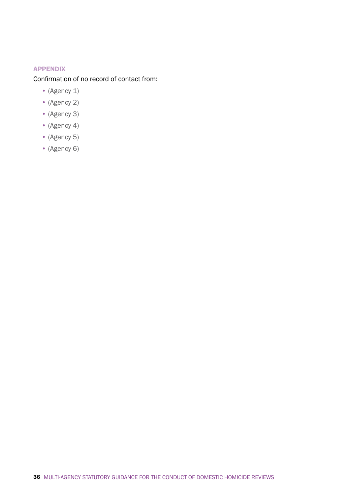# APPENDIX

# Confirmation of no record of contact from:

- (Agency 1)
- (Agency 2)
- (Agency 3)
- (Agency 4)
- (Agency 5)
- (Agency 6)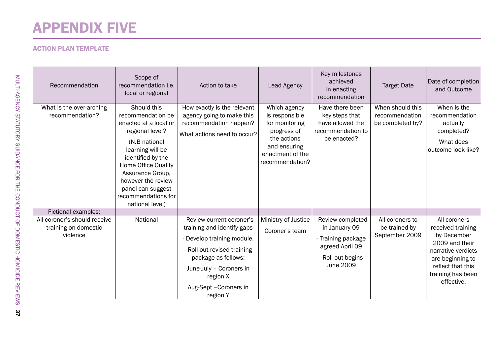# <span id="page-38-0"></span>Appendix five

# Action Plan template

| Recommendation                                                   | Scope of<br>recommendation i.e.<br>local or regional                                                                                                                                                                                                                   | Action to take                                                                                                                                                                                                            | Lead Agency                                                                                                                           | Key milestones<br>achieved<br>in enacting<br>recommendation                                                  | <b>Target Date</b>                                     | Date of completion<br>and Outcome                                                                                                                                    |
|------------------------------------------------------------------|------------------------------------------------------------------------------------------------------------------------------------------------------------------------------------------------------------------------------------------------------------------------|---------------------------------------------------------------------------------------------------------------------------------------------------------------------------------------------------------------------------|---------------------------------------------------------------------------------------------------------------------------------------|--------------------------------------------------------------------------------------------------------------|--------------------------------------------------------|----------------------------------------------------------------------------------------------------------------------------------------------------------------------|
| What is the over-arching<br>recommendation?                      | Should this<br>recommendation be<br>enacted at a local or<br>regional level?<br>(N.B national<br>learning will be<br>identified by the<br>Home Office Quality<br>Assurance Group,<br>however the review<br>panel can suggest<br>recommendations for<br>national level) | How exactly is the relevant<br>agency going to make this<br>recommendation happen?<br>What actions need to occur?                                                                                                         | Which agency<br>is responsible<br>for monitoring<br>progress of<br>the actions<br>and ensuring<br>enactment of the<br>recommendation? | Have there been<br>key steps that<br>have allowed the<br>recommendation to<br>be enacted?                    | When should this<br>recommendation<br>be completed by? | When is the<br>recommendation<br>actually<br>completed?<br>What does<br>outcome look like?                                                                           |
| Fictional examples;                                              |                                                                                                                                                                                                                                                                        |                                                                                                                                                                                                                           |                                                                                                                                       |                                                                                                              |                                                        |                                                                                                                                                                      |
| All coroner's should receive<br>training on domestic<br>violence | National                                                                                                                                                                                                                                                               | - Review current coroner's<br>training and identify gaps<br>- Develop training module.<br>- Roll-out revised training<br>package as follows:<br>June-July - Coroners in<br>region X<br>Aug-Sept - Coroners in<br>region Y | Ministry of Justice<br>Coroner's team                                                                                                 | Review completed<br>in January 09<br>- Training package<br>agreed April 09<br>- Roll-out begins<br>June 2009 | All coroners to<br>be trained by<br>September 2009     | All coroners<br>received training<br>by December<br>2009 and their<br>narrative verdicts<br>are beginning to<br>reflect that this<br>training has been<br>effective. |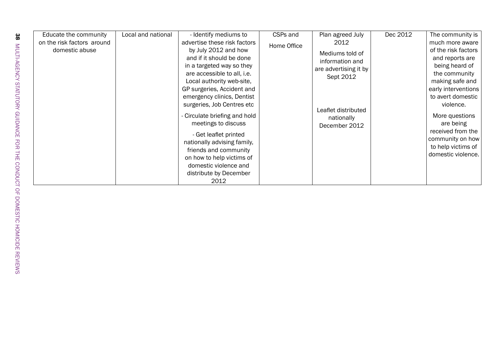| အိ                                                                           | Educate the community      | Local and national | - Identify mediums to         | CSPs and    | Plan agreed July      | Dec 2012 | The community is    |
|------------------------------------------------------------------------------|----------------------------|--------------------|-------------------------------|-------------|-----------------------|----------|---------------------|
|                                                                              | on the risk factors around |                    | advertise these risk factors  | Home Office | 2012                  |          | much more aware     |
|                                                                              | domestic abuse             |                    | by July 2012 and how          |             | Mediums told of       |          | of the risk factors |
|                                                                              |                            |                    | and if it should be done      |             | information and       |          | and reports are     |
|                                                                              |                            |                    | in a targeted way so they     |             | are advertising it by |          | being heard of      |
|                                                                              |                            |                    | are accessible to all, i.e.   |             | Sept 2012             |          | the community       |
|                                                                              |                            |                    | Local authority web-site,     |             |                       |          | making safe and     |
|                                                                              |                            |                    | GP surgeries, Accident and    |             |                       |          | early interventions |
|                                                                              |                            |                    | emergency clinics, Dentist    |             |                       |          | to avert domestic   |
|                                                                              |                            |                    | surgeries, Job Centres etc    |             | Leaflet distributed   |          | violence.           |
|                                                                              |                            |                    | - Circulate briefing and hold |             | nationally            |          | More questions      |
|                                                                              |                            |                    | meetings to discuss           |             | December 2012         |          | are being           |
|                                                                              |                            |                    | - Get leaflet printed         |             |                       |          | received from the   |
|                                                                              |                            |                    | nationally advising family,   |             |                       |          | community on how    |
|                                                                              |                            |                    | friends and community         |             |                       |          | to help victims of  |
|                                                                              |                            |                    | on how to help victims of     |             |                       |          | domestic violence.  |
|                                                                              |                            |                    | domestic violence and         |             |                       |          |                     |
|                                                                              |                            |                    | distribute by December        |             |                       |          |                     |
|                                                                              |                            |                    | 2012                          |             |                       |          |                     |
| MULTI-AGENCY STATUTORY GUIDANCE FOR THE CONDUCT OF DOMESTIC HOMICIDE REVIEWS |                            |                    |                               |             |                       |          |                     |
|                                                                              |                            |                    |                               |             |                       |          |                     |
|                                                                              |                            |                    |                               |             |                       |          |                     |
|                                                                              |                            |                    |                               |             |                       |          |                     |
|                                                                              |                            |                    |                               |             |                       |          |                     |
|                                                                              |                            |                    |                               |             |                       |          |                     |
|                                                                              |                            |                    |                               |             |                       |          |                     |
|                                                                              |                            |                    |                               |             |                       |          |                     |
|                                                                              |                            |                    |                               |             |                       |          |                     |
|                                                                              |                            |                    |                               |             |                       |          |                     |
|                                                                              |                            |                    |                               |             |                       |          |                     |